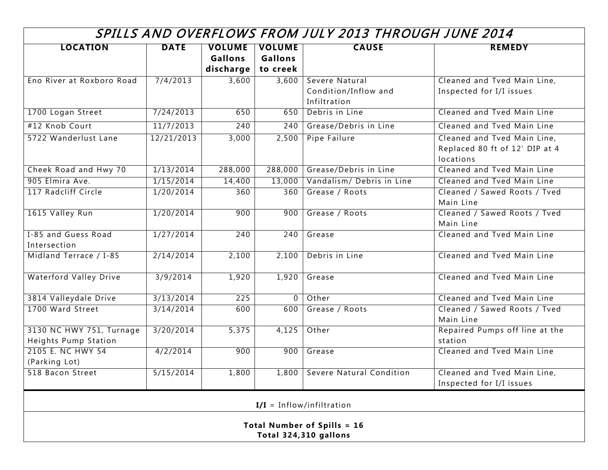## SPILLS AND OVERFLOWS FROM JULY 2013 THROUGH JUNE 2014

| <b>LOCATION</b>                    | <b>DATE</b> | <b>VOLUME</b>  | <b>VOLUME</b>  | <b>CAUSE</b>                     | <b>REMEDY</b>                  |
|------------------------------------|-------------|----------------|----------------|----------------------------------|--------------------------------|
|                                    |             | <b>Gallons</b> | <b>Gallons</b> |                                  |                                |
|                                    |             | discharge      | to creek       |                                  |                                |
| Eno River at Roxboro Road          | 7/4/2013    | 3,600          | 3,600          | Severe Natural                   | Cleaned and Tved Main Line,    |
|                                    |             |                |                | Condition/Inflow and             | Inspected for I/I issues       |
|                                    |             |                |                | Infiltration                     |                                |
| 1700 Logan Street                  | 7/24/2013   | 650            | 650            | Debris in Line                   | Cleaned and Tyed Main Line     |
| #12 Knob Court                     | 11/7/2013   | 240            | 240            | Grease/Debris in Line            | Cleaned and Tved Main Line     |
| 5722 Wanderlust Lane               | 12/21/2013  | 3,000          | 2,500          | Pipe Failure                     | Cleaned and Tved Main Line,    |
|                                    |             |                |                |                                  | Replaced 80 ft of 12' DIP at 4 |
|                                    |             |                |                |                                  | locations                      |
| Cheek Road and Hwy 70              | 1/13/2014   | 288,000        |                | 288,000   Grease/Debris in Line  | Cleaned and Tved Main Line     |
| 905 Elmira Ave.                    | 1/15/2014   | 14,400         |                | 13,000 Vandalism/ Debris in Line | Cleaned and Tved Main Line     |
| 117 Radcliff Circle                | 1/20/2014   | 360            | 360            | Grease / Roots                   | Cleaned / Sawed Roots / Tved   |
|                                    |             |                |                |                                  | Main Line                      |
| 1615 Valley Run                    | 1/20/2014   | 900            | 900            | Grease / Roots                   | Cleaned / Sawed Roots / Tved   |
|                                    |             |                |                |                                  | Main Line                      |
| I-85 and Guess Road                | 1/27/2014   | 240            | 240            | Grease                           | Cleaned and Tved Main Line     |
| Intersection                       |             |                |                |                                  |                                |
| Midland Terrace / I-85             | 2/14/2014   | 2,100          | 2,100          | Debris in Line                   | Cleaned and Tved Main Line     |
|                                    |             |                |                |                                  |                                |
| <b>Waterford Valley Drive</b>      | 3/9/2014    | 1,920          | 1,920          | Grease                           | Cleaned and Tved Main Line     |
| 3814 Valleydale Drive              | 3/13/2014   | 225            | $\overline{0}$ | Other                            | Cleaned and Tyed Main Line     |
| 1700 Ward Street                   | 3/14/2014   | 600            | 600            | Grease / Roots                   | Cleaned / Sawed Roots / Tved   |
|                                    |             |                |                |                                  | Main Line                      |
| 3130 NC HWY 751, Turnage           | 3/20/2014   | 5,375          | 4,125          | Other                            | Repaired Pumps off line at the |
| Heights Pump Station               |             |                |                |                                  | station                        |
| 2105 E. NC HWY 54                  | 4/2/2014    | 900            | 900            | Grease                           | Cleaned and Tved Main Line     |
| (Parking Lot)                      |             |                |                |                                  |                                |
| 518 Bacon Street                   | 5/15/2014   | 1,800          |                | 1,800 Severe Natural Condition   | Cleaned and Tved Main Line,    |
|                                    |             |                |                |                                  | Inspected for I/I issues       |
| $I/I = Inflow/infiltration$        |             |                |                |                                  |                                |
|                                    |             |                |                |                                  |                                |
| <b>Total Number of Spills = 16</b> |             |                |                |                                  |                                |
| Total 324,310 gallons              |             |                |                |                                  |                                |